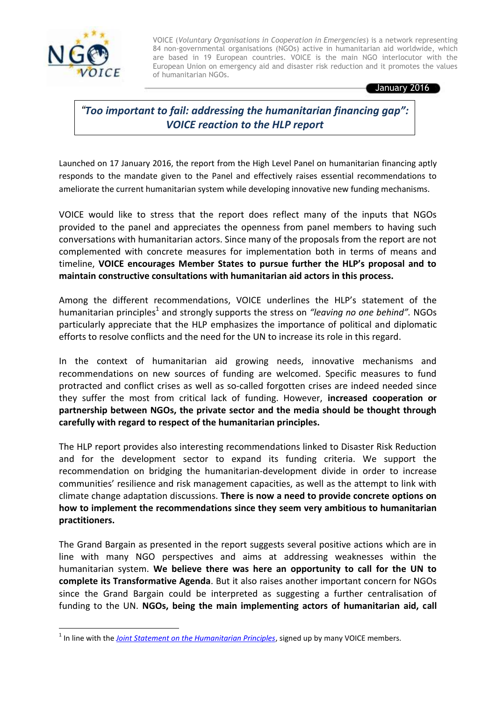

**.** 

VOICE (*Voluntary Organisations in Cooperation in Emergencies*) is a network representing 84 non-governmental organisations (NGOs) active in humanitarian aid worldwide, which are based in 19 European countries. VOICE is the main NGO interlocutor with the European Union on emergency aid and disaster risk reduction and it promotes the values of humanitarian NGOs.

January 2016

*"Too important to fail: addressing the humanitarian financing gap": VOICE reaction to the HLP report*

Launched on 17 January 2016, the report from the High Level Panel on humanitarian financing aptly responds to the mandate given to the Panel and effectively raises essential recommendations to ameliorate the current humanitarian system while developing innovative new funding mechanisms.

VOICE would like to stress that the report does reflect many of the inputs that NGOs provided to the panel and appreciates the openness from panel members to having such conversations with humanitarian actors. Since many of the proposals from the report are not complemented with concrete measures for implementation both in terms of means and timeline, **VOICE encourages Member States to pursue further the HLP's proposal and to maintain constructive consultations with humanitarian aid actors in this process.**

Among the different recommendations, VOICE underlines the HLP's statement of the humanitarian principles<sup>1</sup> and strongly supports the stress on *"leaving no one behind"*. NGOs particularly appreciate that the HLP emphasizes the importance of political and diplomatic efforts to resolve conflicts and the need for the UN to increase its role in this regard.

In the context of humanitarian aid growing needs, innovative mechanisms and recommendations on new sources of funding are welcomed. Specific measures to fund protracted and conflict crises as well as so-called forgotten crises are indeed needed since they suffer the most from critical lack of funding. However, **increased cooperation or partnership between NGOs, the private sector and the media should be thought through carefully with regard to respect of the humanitarian principles.** 

The HLP report provides also interesting recommendations linked to Disaster Risk Reduction and for the development sector to expand its funding criteria. We support the recommendation on bridging the humanitarian-development divide in order to increase communities' resilience and risk management capacities, as well as the attempt to link with climate change adaptation discussions. **There is now a need to provide concrete options on how to implement the recommendations since they seem very ambitious to humanitarian practitioners.** 

The Grand Bargain as presented in the report suggests several positive actions which are in line with many NGO perspectives and aims at addressing weaknesses within the humanitarian system. **We believe there was here an opportunity to call for the UN to complete its Transformative Agenda**. But it also raises another important concern for NGOs since the Grand Bargain could be interpreted as suggesting a further centralisation of funding to the UN. **NGOs, being the main implementing actors of humanitarian aid, call** 

<sup>&</sup>lt;sup>1</sup> In line with the *[Joint Statement on the Humanitarian Principles](http://www.ngovoice.org/documents/joint_statement_on_humanitarian_principles_endorsed_by_48_humanitarian_ngos_as_a_common_contribution_to_the_world_humanitarian_summit_consultations_as_of.pdf)*, signed up by many VOICE members.